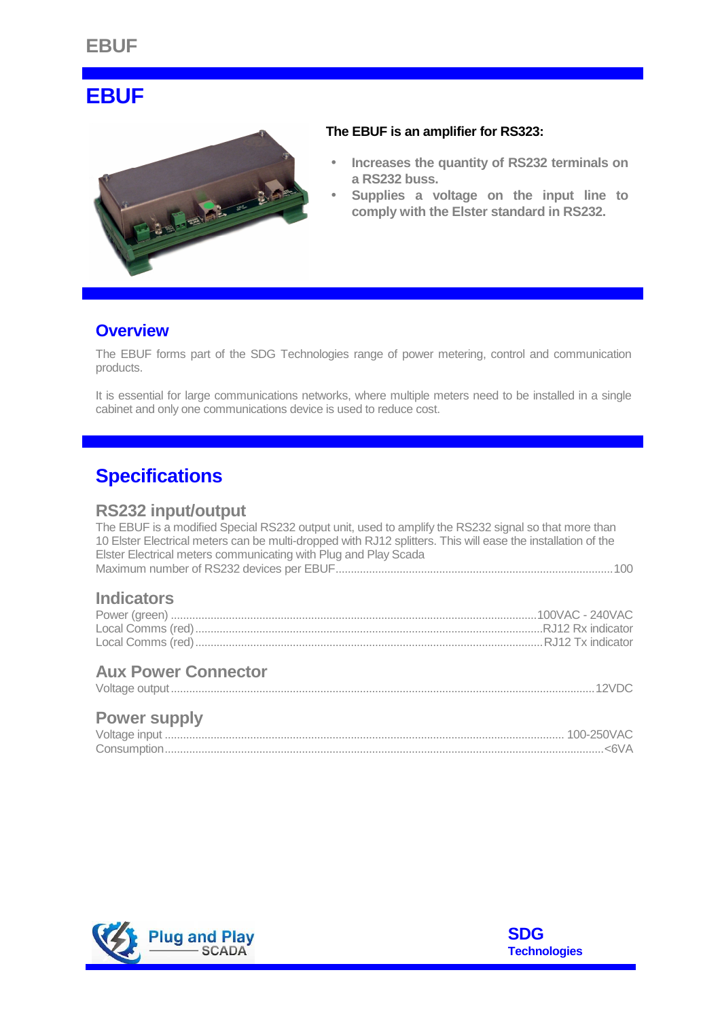# **EBUF**



#### **The EBUF is an amplifier for RS323:**

- **Increases the quantity of RS232 terminals on a RS232 buss.**
- **Supplies a voltage on the input line to comply with the Elster standard in RS232.**

## **Overview**

The EBUF forms part of the SDG Technologies range of power metering, control and communication products.

It is essential for large communications networks, where multiple meters need to be installed in a single cabinet and only one communications device is used to reduce cost.

## **Specifications**

#### **RS232 input/output**

The EBUF is a modified Special RS232 output unit, used to amplify the RS232 signal so that more than 10 Elster Electrical meters can be multi-dropped with RJ12 splitters. This will ease the installation of the Elster Electrical meters communicating with Plug and Play Scada Maximum number of RS232 devices per EBUF...........................................................................................100

## **Indicators**

## **Aux Power Connector**

### **Power supply**